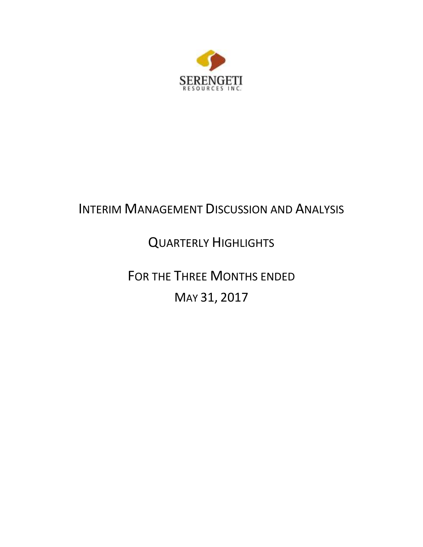

# INTERIM MANAGEMENT DISCUSSION AND ANALYSIS

# QUARTERLY HIGHLIGHTS

FOR THE THREE MONTHS ENDED MAY 31, 2017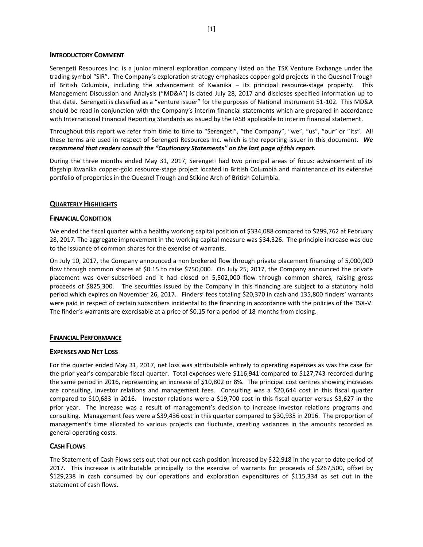#### **INTRODUCTORY COMMENT**

Serengeti Resources Inc. is a junior mineral exploration company listed on the TSX Venture Exchange under the trading symbol "SIR". The Company's exploration strategy emphasizes copper-gold projects in the Quesnel Trough of British Columbia, including the advancement of Kwanika – its principal resource-stage property. This Management Discussion and Analysis ("MD&A") is dated July 28, 2017 and discloses specified information up to that date. Serengeti is classified as a "venture issuer" for the purposes of National Instrument 51-102. This MD&A should be read in conjunction with the Company's interim financial statements which are prepared in accordance with International Financial Reporting Standards as issued by the IASB applicable to interim financial statement.

Throughout this report we refer from time to time to "Serengeti", "the Company", "we", "us", "our" or "its". All these terms are used in respect of Serengeti Resources Inc. which is the reporting issuer in this document. *We recommend that readers consult the "Cautionary Statements" on the last page of this report.*

During the three months ended May 31, 2017, Serengeti had two principal areas of focus: advancement of its flagship Kwanika copper-gold resource-stage project located in British Columbia and maintenance of its extensive portfolio of properties in the Quesnel Trough and Stikine Arch of British Columbia.

## **QUARTERLY HIGHLIGHTS**

## **FINANCIAL CONDITION**

We ended the fiscal quarter with a healthy working capital position of \$334,088 compared to \$299,762 at February 28, 2017. The aggregate improvement in the working capital measure was \$34,326. The principle increase was due to the issuance of common shares for the exercise of warrants.

On July 10, 2017, the Company announced a non brokered flow through private placement financing of 5,000,000 flow through common shares at \$0.15 to raise \$750,000. On July 25, 2017, the Company announced the private placement was over-subscribed and it had closed on 5,502,000 flow through common shares, raising gross proceeds of \$825,300. The securities issued by the Company in this financing are subject to a statutory hold period which expires on November 26, 2017. Finders' fees totaling \$20,370 in cash and 135,800 finders' warrants were paid in respect of certain subscribers incidental to the financing in accordance with the policies of the TSX-V. The finder's warrants are exercisable at a price of \$0.15 for a period of 18 months from closing.

## **FINANCIAL PERFORMANCE**

## **EXPENSES AND NET LOSS**

For the quarter ended May 31, 2017, net loss was attributable entirely to operating expenses as was the case for the prior year's comparable fiscal quarter. Total expenses were \$116,941 compared to \$127,743 recorded during the same period in 2016, representing an increase of \$10,802 or 8%. The principal cost centres showing increases are consulting, investor relations and management fees. Consulting was a \$20,644 cost in this fiscal quarter compared to \$10,683 in 2016. Investor relations were a \$19,700 cost in this fiscal quarter versus \$3,627 in the prior year. The increase was a result of management's decision to increase investor relations programs and consulting. Management fees were a \$39,436 cost in this quarter compared to \$30,935 in 2016. The proportion of management's time allocated to various projects can fluctuate, creating variances in the amounts recorded as general operating costs.

## **CASH FLOWS**

The Statement of Cash Flows sets out that our net cash position increased by \$22,918 in the year to date period of 2017. This increase is attributable principally to the exercise of warrants for proceeds of \$267,500, offset by \$129,238 in cash consumed by our operations and exploration expenditures of \$115,334 as set out in the statement of cash flows.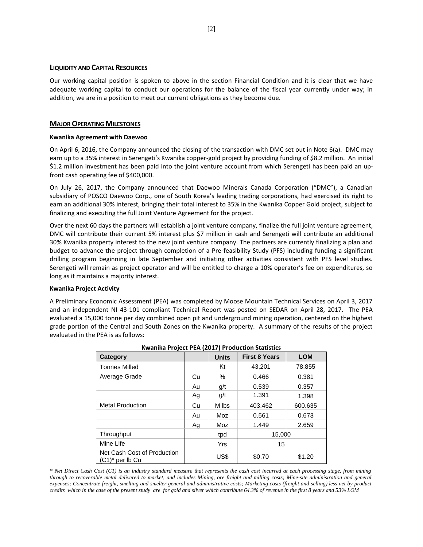#### **LIQUIDITY AND CAPITAL RESOURCES**

Our working capital position is spoken to above in the section Financial Condition and it is clear that we have adequate working capital to conduct our operations for the balance of the fiscal year currently under way; in addition, we are in a position to meet our current obligations as they become due.

#### **MAJOR OPERATING MILESTONES**

#### **Kwanika Agreement with Daewoo**

On April 6, 2016, the Company announced the closing of the transaction with DMC set out in Note 6(a). DMC may earn up to a 35% interest in Serengeti's Kwanika copper-gold project by providing funding of \$8.2 million. An initial \$1.2 million investment has been paid into the joint venture account from which Serengeti has been paid an upfront cash operating fee of \$400,000.

On July 26, 2017, the Company announced that Daewoo Minerals Canada Corporation ("DMC"), a Canadian subsidiary of POSCO Daewoo Corp., one of South Korea's leading trading corporations, had exercised its right to earn an additional 30% interest, bringing their total interest to 35% in the Kwanika Copper Gold project, subject to finalizing and executing the full Joint Venture Agreement for the project.

Over the next 60 days the partners will establish a joint venture company, finalize the full joint venture agreement, DMC will contribute their current 5% interest plus \$7 million in cash and Serengeti will contribute an additional 30% Kwanika property interest to the new joint venture company. The partners are currently finalizing a plan and budget to advance the project through completion of a Pre-feasibility Study (PFS) including funding a significant drilling program beginning in late September and initiating other activities consistent with PFS level studies. Serengeti will remain as project operator and will be entitled to charge a 10% operator's fee on expenditures, so long as it maintains a majority interest.

#### **Kwanika Project Activity**

A Preliminary Economic Assessment (PEA) was completed by Moose Mountain Technical Services on April 3, 2017 and an independent NI 43-101 compliant Technical Report was posted on SEDAR on April 28, 2017. The PEA evaluated a 15,000 tonne per day combined open pit and underground mining operation, centered on the highest grade portion of the Central and South Zones on the Kwanika property. A summary of the results of the project evaluated in the PEA is as follows:

| Category                                          |    | <b>Units</b> | <b>First 8 Years</b> | <b>LOM</b> |
|---------------------------------------------------|----|--------------|----------------------|------------|
| <b>Tonnes Milled</b>                              |    | Kt           | 43.201               | 78,855     |
| Average Grade                                     | Cu | %            | 0.466                | 0.381      |
|                                                   | Au | g/t          | 0.539                | 0.357      |
|                                                   | Ag | g/t          | 1.391                | 1.398      |
| <b>Metal Production</b>                           | Cu | M lbs        | 403.462              | 600.635    |
|                                                   | Au | Moz          | 0.561                | 0.673      |
|                                                   | Ag | Moz          | 1.449                | 2.659      |
| Throughput                                        |    | tpd          | 15.000               |            |
| Mine Life                                         |    | Yrs          | 15                   |            |
| Net Cash Cost of Production<br>$(C1)^*$ per lb Cu |    | US\$         | \$0.70               | \$1.20     |

*\* Net Direct Cash Cost (C1) is an industry standard measure that represents the cash cost incurred at each processing stage, from mining through to recoverable metal delivered to market, and includes Mining, ore freight and milling costs; Mine-site administration and general expenses; Concentrate freight, smelting and smelter general and administrative costs; Marketing costs (freight and selling).less net by-product credits which in the case of the present study are for gold and silver which contribute 64.3% of revenue in the first 8 years and 53% LOM*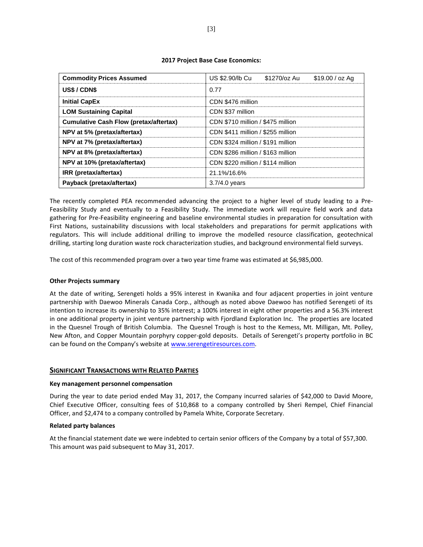#### **2017 Project Base Case Economics:**

| <b>Commodity Prices Assumed</b>               | \$1270/oz Au<br>US \$2.90/lb Cu<br>$$19.00 / oz$ Ag |  |  |  |  |  |
|-----------------------------------------------|-----------------------------------------------------|--|--|--|--|--|
| US\$/CDN\$                                    | 0.77                                                |  |  |  |  |  |
| <b>Initial CapEx</b>                          | CDN \$476 million                                   |  |  |  |  |  |
| <b>LOM Sustaining Capital</b>                 | CDN \$37 million                                    |  |  |  |  |  |
| <b>Cumulative Cash Flow (pretax/aftertax)</b> | CDN \$710 million / \$475 million                   |  |  |  |  |  |
| NPV at 5% (pretax/aftertax)                   | CDN \$411 million / \$255 million                   |  |  |  |  |  |
| NPV at 7% (pretax/aftertax)                   | CDN \$324 million / \$191 million                   |  |  |  |  |  |
| NPV at 8% (pretax/aftertax)                   | CDN \$286 million / \$163 million                   |  |  |  |  |  |
| NPV at 10% (pretax/aftertax)                  | CDN \$220 million / \$114 million                   |  |  |  |  |  |
| IRR (pretax/aftertax)                         | 21.1%/16.6%                                         |  |  |  |  |  |
| Payback (pretax/aftertax)                     | $3.7/4.0$ years                                     |  |  |  |  |  |

The recently completed PEA recommended advancing the project to a higher level of study leading to a Pre-Feasibility Study and eventually to a Feasibility Study. The immediate work will require field work and data gathering for Pre-Feasibility engineering and baseline environmental studies in preparation for consultation with First Nations, sustainability discussions with local stakeholders and preparations for permit applications with regulators. This will include additional drilling to improve the modelled resource classification, geotechnical drilling, starting long duration waste rock characterization studies, and background environmental field surveys.

The cost of this recommended program over a two year time frame was estimated at \$6,985,000.

## **Other Projects summary**

At the date of writing, Serengeti holds a 95% interest in Kwanika and four adjacent properties in joint venture partnership with Daewoo Minerals Canada Corp., although as noted above Daewoo has notified Serengeti of its intention to increase its ownership to 35% interest; a 100% interest in eight other properties and a 56.3% interest in one additional property in joint venture partnership with Fjordland Exploration Inc. The properties are located in the Quesnel Trough of British Columbia. The Quesnel Trough is host to the Kemess, Mt. Milligan, Mt. Polley, New Afton, and Copper Mountain porphyry copper-gold deposits. Details of Serengeti's property portfolio in BC can be found on the Company's website at [www.serengetiresources.com.](http://www.serengetiresources.com/)

## **SIGNIFICANT TRANSACTIONS WITH RELATED PARTIES**

#### **Key management personnel compensation**

During the year to date period ended May 31, 2017, the Company incurred salaries of \$42,000 to David Moore, Chief Executive Officer, consulting fees of \$10,868 to a company controlled by Sheri Rempel, Chief Financial Officer, and \$2,474 to a company controlled by Pamela White, Corporate Secretary.

#### **Related party balances**

At the financial statement date we were indebted to certain senior officers of the Company by a total of \$57,300. This amount was paid subsequent to May 31, 2017.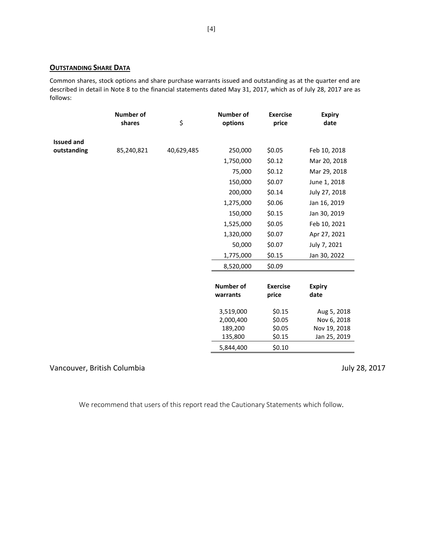## **OUTSTANDING SHARE DATA**

Common shares, stock options and share purchase warrants issued and outstanding as at the quarter end are described in detail in Note 8 to the financial statements dated May 31, 2017, which as of July 28, 2017 are as follows:

|                   | <b>Number of</b><br>shares | \$         | <b>Number of</b><br>options | <b>Exercise</b><br>price | <b>Expiry</b><br>date |
|-------------------|----------------------------|------------|-----------------------------|--------------------------|-----------------------|
|                   |                            |            |                             |                          |                       |
| <b>Issued and</b> |                            |            |                             |                          |                       |
| outstanding       | 85,240,821                 | 40,629,485 | 250,000                     | \$0.05                   | Feb 10, 2018          |
|                   |                            |            | 1,750,000                   | \$0.12                   | Mar 20, 2018          |
|                   |                            |            | 75,000                      | \$0.12                   | Mar 29, 2018          |
|                   |                            |            | 150,000                     | \$0.07                   | June 1, 2018          |
|                   |                            |            | 200,000                     | \$0.14                   | July 27, 2018         |
|                   |                            |            | 1,275,000                   | \$0.06                   | Jan 16, 2019          |
|                   |                            |            | 150,000                     | \$0.15                   | Jan 30, 2019          |
|                   |                            |            | 1,525,000                   | \$0.05                   | Feb 10, 2021          |
|                   |                            |            | 1,320,000                   | \$0.07                   | Apr 27, 2021          |
|                   |                            |            | 50,000                      | \$0.07                   | July 7, 2021          |
|                   |                            |            | 1,775,000                   | \$0.15                   | Jan 30, 2022          |
|                   |                            |            | 8,520,000                   | \$0.09                   |                       |
|                   |                            |            |                             |                          |                       |
|                   |                            |            | <b>Number of</b>            | <b>Exercise</b>          | <b>Expiry</b>         |
|                   |                            |            | warrants                    | price                    | date                  |
|                   |                            |            | 3,519,000                   | \$0.15                   | Aug 5, 2018           |
|                   |                            |            | 2,000,400                   | \$0.05                   | Nov 6, 2018           |
|                   |                            |            | 189,200                     | \$0.05                   | Nov 19, 2018          |
|                   |                            |            | 135,800                     | \$0.15                   | Jan 25, 2019          |
|                   |                            |            | 5,844,400                   | \$0.10                   |                       |

## Vancouver, British Columbia de Columbia de Columbia de Columbia de Columbia de July 28, 2017

We recommend that users of this report read the Cautionary Statements which follow.